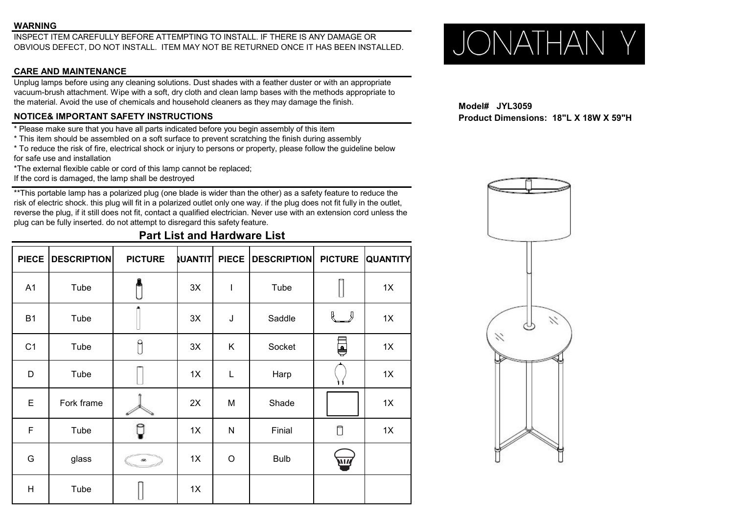### **WARNING**

INSPECT ITEM CAREFULLY BEFORE ATTEMPTING TO INSTALL. IF THERE IS ANY DAMAGE OR OBVIOUS DEFECT, DO NOT INSTALL. ITEM MAY NOT BE RETURNED ONCE IT HAS BEEN INSTALLED.  $\bigcup_{\text{O}}\bigcap_{\text{O}}\bigcap_{\text{O}}\bigcap_{\text{O}}\bigcap_{\text{O}}\bigcap_{\text{O}}\bigcap$ OBVIOUS DEFECT, DO NOT INSTALL. ITEM MAY NOT BE RETURNED ONCE ITHAS BEEN INSTALLED.

# **CARE AND MAINTENANCE**

Unplug lamps before using any cleaning solutions. Dust shades with a feather duster or with an appropriate vacuum-brush attachment. Wipe with a soft, dry cloth and clean lamp bases with the methods appropriate to the material. Avoid the use of chemicals and household cleaners as they may damage the finish.<br>**NOTICE& IMPORTANT SAFETY INSTRUCTIONS** 

\* Please make sure that you have all parts indicated before you begin assembly of this item

- \* This item should be assembled on a soft surface to prevent scratching the finish during assembly
- \* To reduce the risk of fire, electrical shock or injury to persons or property, please follow the guideline below for safe use and installation

\*The external flexible cable or cord of this lamp cannot be replaced; If the cord is damaged, the lamp shall be destroyed

\*\*This portable lamp has a polarized plug (one blade is wider than the other) as a safety feature to reduce the risk of electric shock. this plug will fit in a polarized outlet only one way. if the plug does not fit fully in the outlet, reverse the plug, if it still does not fit, contact a qualified electrician. Never use with an extension cord unless the plug can be fully inserted. do not attempt to disregard this safety feature.

**Part List and Hardware List**

| <b>PIECE</b>   | <b>DESCRIPTION</b> | <b>PICTURE</b>          | <b>UANTIT</b> | <b>PIECE</b> | DESCRIPTION PICTURE |                                                | <b>QUANTITY</b> |
|----------------|--------------------|-------------------------|---------------|--------------|---------------------|------------------------------------------------|-----------------|
| A1             | Tube               |                         | 3X            | $\mathbf{I}$ | Tube                |                                                | 1X              |
| <b>B1</b>      | Tube               |                         | 3X            | J            | Saddle              | $\left\{ \begin{array}{c} \end{array} \right.$ | 1X              |
| C <sub>1</sub> | Tube               | $\int$                  | 3X            | K            | Socket              | Ş                                              | 1X              |
| D              | Tube               |                         | 1X            | $\mathsf L$  | Harp                |                                                | 1X              |
| $\mathsf E$    | Fork frame         |                         | 2X            | M            | Shade               |                                                | 1X              |
| $\mathsf F$    | Tube               | Ç                       | 1X            | $\mathsf{N}$ | Finial              | Ū                                              | 1X              |
| G              | glass              | $\qquad \qquad \bullet$ | 1X            | $\mathsf O$  | <b>Bulb</b>         | Z                                              |                 |
| H              | Tube               |                         | 1X            |              |                     |                                                |                 |

**NOTICE& IMPORTANT SAFETY INSTRUCTIONS Product Dimensions: 18"L X 18W X 59"H**